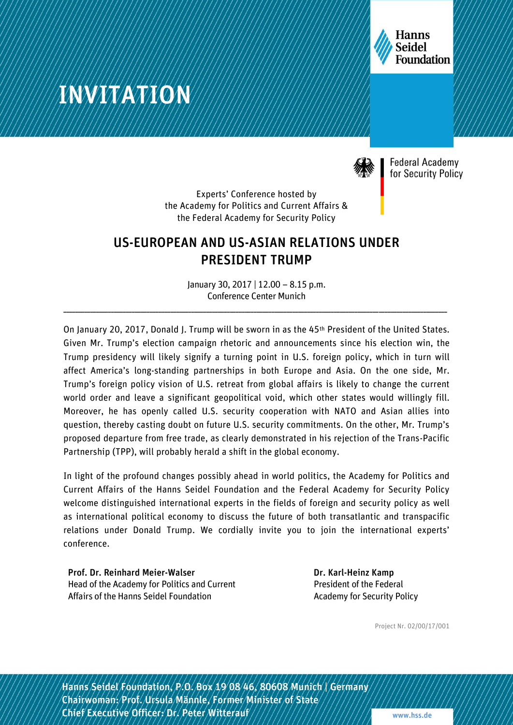

# INVITATION



**Federal Academy** for Security Policy

Experts' Conference hosted by the Academy for Politics and Current Affairs & the Federal Academy for Security Policy

### US-EUROPEAN AND US-ASIAN RELATIONS UNDER PRESIDENT TRUMP

January 30, 2017 | 12.00 – 8.15 p.m. Conference Center Munich

\_\_\_\_\_\_\_\_\_\_\_\_\_\_\_\_\_\_\_\_\_\_\_\_\_\_\_\_\_\_\_\_\_\_\_\_\_\_\_\_\_\_\_\_\_\_\_\_\_\_\_\_\_\_\_\_\_\_\_\_\_\_\_\_\_\_\_\_\_\_\_\_\_\_\_\_\_\_\_\_\_\_\_\_\_\_\_\_\_\_\_\_\_\_\_\_\_\_\_\_\_\_\_\_\_\_\_\_\_\_\_\_\_\_\_\_\_\_\_\_\_\_\_\_\_\_\_\_\_

On January 20, 2017, Donald J. Trump will be sworn in as the 45<sup>th</sup> President of the United States. Given Mr. Trump's election campaign rhetoric and announcements since his election win, the Trump presidency will likely signify a turning point in U.S. foreign policy, which in turn will affect America's long-standing partnerships in both Europe and Asia. On the one side, Mr. Trump's foreign policy vision of U.S. retreat from global affairs is likely to change the current world order and leave a significant geopolitical void, which other states would willingly fill. Moreover, he has openly called U.S. security cooperation with NATO and Asian allies into question, thereby casting doubt on future U.S. security commitments. On the other, Mr. Trump's proposed departure from free trade, as clearly demonstrated in his rejection of the Trans-Pacific Partnership (TPP), will probably herald a shift in the global economy.

In light of the profound changes possibly ahead in world politics, the Academy for Politics and Current Affairs of the Hanns Seidel Foundation and the Federal Academy for Security Policy welcome distinguished international experts in the fields of foreign and security policy as well as international political economy to discuss the future of both transatlantic and transpacific relations under Donald Trump. We cordially invite you to join the international experts' conference.

Prof. Dr. Reinhard Meier-Walser Head of the Academy for Politics and Current Affairs of the Hanns Seidel Foundation

Dr. Karl-Heinz Kamp President of the Federal Academy for Security Policy

Project Nr. 02/00/17/001

1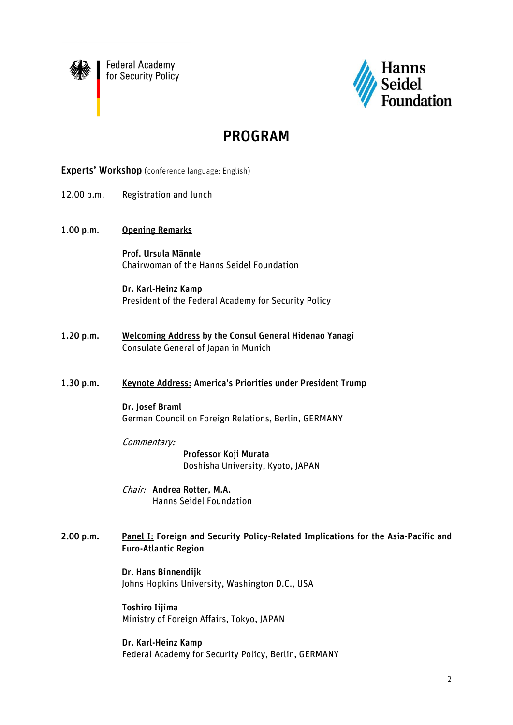

**Federal Academy** for Security Policy



## PROGRAM

#### Experts' Workshop (conference language: English)

- 12.00 p.m. Registration and lunch
- 1.00 p.m. Opening Remarks

Prof. Ursula Männle Chairwoman of the Hanns Seidel Foundation

Dr. Karl-Heinz Kamp President of the Federal Academy for Security Policy

- 1.20 p.m. Welcoming Address by the Consul General Hidenao Yanagi Consulate General of Japan in Munich
- 1.30 p.m. Keynote Address: America's Priorities under President Trump

Dr. Josef Braml German Council on Foreign Relations, Berlin, GERMANY

Commentary:

Professor Koji Murata Doshisha University, Kyoto, JAPAN

- Chair: Andrea Rotter, M.A. Hanns Seidel Foundation
- 2.00 p.m. Panel I: Foreign and Security Policy-Related Implications for the Asia-Pacific and Euro-Atlantic Region

Dr. Hans Binnendijk Johns Hopkins University, Washington D.C., USA

Toshiro Iijima Ministry of Foreign Affairs, Tokyo, JAPAN

Dr. Karl-Heinz Kamp Federal Academy for Security Policy, Berlin, GERMANY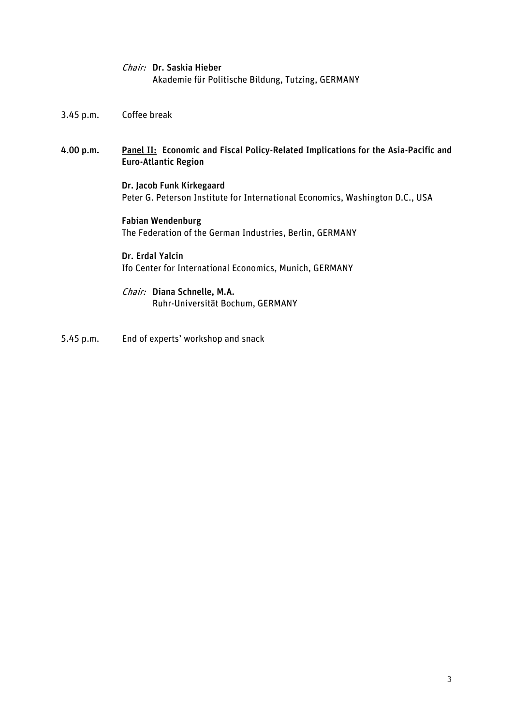| <i>Chair:</i> Dr. Saskia Hieber                   |  |
|---------------------------------------------------|--|
| Akademie für Politische Bildung, Tutzing, GERMANY |  |

- 3.45 p.m. Coffee break
- 4.00 p.m. Panel II: Economic and Fiscal Policy-Related Implications for the Asia-Pacific and Euro-Atlantic Region

Dr. Jacob Funk Kirkegaard Peter G. Peterson Institute for International Economics, Washington D.C., USA

Fabian Wendenburg The Federation of the German Industries, Berlin, GERMANY

Dr. Erdal Yalcin Ifo Center for International Economics, Munich, GERMANY

Chair: Diana Schnelle, M.A. Ruhr-Universität Bochum, GERMANY

5.45 p.m. End of experts' workshop and snack